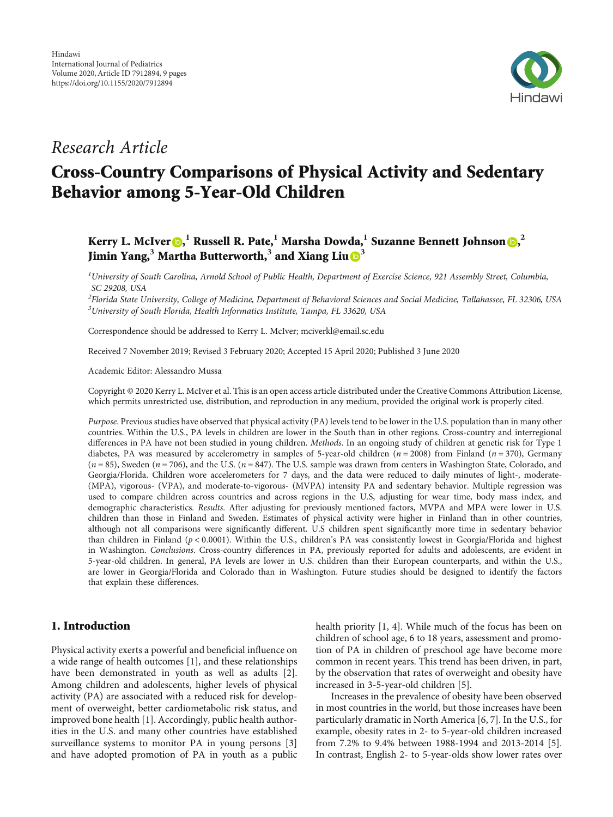

## Research Article

# Cross-Country Comparisons of Physical Activity and Sedentary Behavior among 5-Year-Old Children

### Kerry L. McIver (D[,](https://orcid.org/0000-0001-5721-7524)  $^1$  Russell R. Pate,  $^1$  Marsha Dowda,  $^1$  Suzanne Bennett Johnson (D,  $^2$ Jimin Yang,**<sup>3</sup>** Martha Butterworth,**<sup>3</sup>** and Xiang Liu **[3](https://orcid.org/0000-0002-8451-3465)**

 $^1$ University of South Carolina, Arnold School of Public Health, Department of Exercise Science, 921 Assembly Street, Columbia, SC 29208, USA

 $^2$ Florida State University, College of Medicine, Department of Behavioral Sciences and Social Medicine, Tallahassee, FL 32306, USA  $^3$ University of South Florida, Health Informatics Institute, Tampa, FL 33620, USA

Correspondence should be addressed to Kerry L. McIver; mciverkl@email.sc.edu

Received 7 November 2019; Revised 3 February 2020; Accepted 15 April 2020; Published 3 June 2020

Academic Editor: Alessandro Mussa

Copyright © 2020 Kerry L. McIver et al. This is an open access article distributed under the [Creative Commons Attribution License](https://creativecommons.org/licenses/by/4.0/), which permits unrestricted use, distribution, and reproduction in any medium, provided the original work is properly cited.

Purpose. Previous studies have observed that physical activity (PA) levels tend to be lower in the U.S. population than in many other countries. Within the U.S., PA levels in children are lower in the South than in other regions. Cross-country and interregional differences in PA have not been studied in young children. Methods. In an ongoing study of children at genetic risk for Type 1 diabetes, PA was measured by accelerometry in samples of 5-year-old children  $(n = 2008)$  from Finland  $(n = 370)$ , Germany (*n* = 85), Sweden (*n* = 706), and the U.S. (*n* = 847). The U.S. sample was drawn from centers in Washington State, Colorado, and Georgia/Florida. Children wore accelerometers for 7 days, and the data were reduced to daily minutes of light-, moderate- (MPA), vigorous- (VPA), and moderate-to-vigorous- (MVPA) intensity PA and sedentary behavior. Multiple regression was used to compare children across countries and across regions in the U.S, adjusting for wear time, body mass index, and demographic characteristics. Results. After adjusting for previously mentioned factors, MVPA and MPA were lower in U.S. children than those in Finland and Sweden. Estimates of physical activity were higher in Finland than in other countries, although not all comparisons were significantly different. U.S children spent significantly more time in sedentary behavior than children in Finland (*p* < 0*:*0001). Within the U.S., children's PA was consistently lowest in Georgia/Florida and highest in Washington. Conclusions. Cross-country differences in PA, previously reported for adults and adolescents, are evident in 5-year-old children. In general, PA levels are lower in U.S. children than their European counterparts, and within the U.S., are lower in Georgia/Florida and Colorado than in Washington. Future studies should be designed to identify the factors that explain these differences.

#### 1. Introduction

Physical activity exerts a powerful and beneficial influence on a wide range of health outcomes [[1\]](#page-7-0), and these relationships have been demonstrated in youth as well as adults [[2](#page-7-0)]. Among children and adolescents, higher levels of physical activity (PA) are associated with a reduced risk for development of overweight, better cardiometabolic risk status, and improved bone health [\[1\]](#page-7-0). Accordingly, public health authorities in the U.S. and many other countries have established surveillance systems to monitor PA in young persons [[3\]](#page-7-0) and have adopted promotion of PA in youth as a public health priority [[1](#page-7-0), [4\]](#page-7-0). While much of the focus has been on children of school age, 6 to 18 years, assessment and promotion of PA in children of preschool age have become more common in recent years. This trend has been driven, in part, by the observation that rates of overweight and obesity have increased in 3-5-year-old children [[5](#page-7-0)].

Increases in the prevalence of obesity have been observed in most countries in the world, but those increases have been particularly dramatic in North America [[6, 7\]](#page-7-0). In the U.S., for example, obesity rates in 2- to 5-year-old children increased from 7.2% to 9.4% between 1988-1994 and 2013-2014 [[5](#page-7-0)]. In contrast, English 2- to 5-year-olds show lower rates over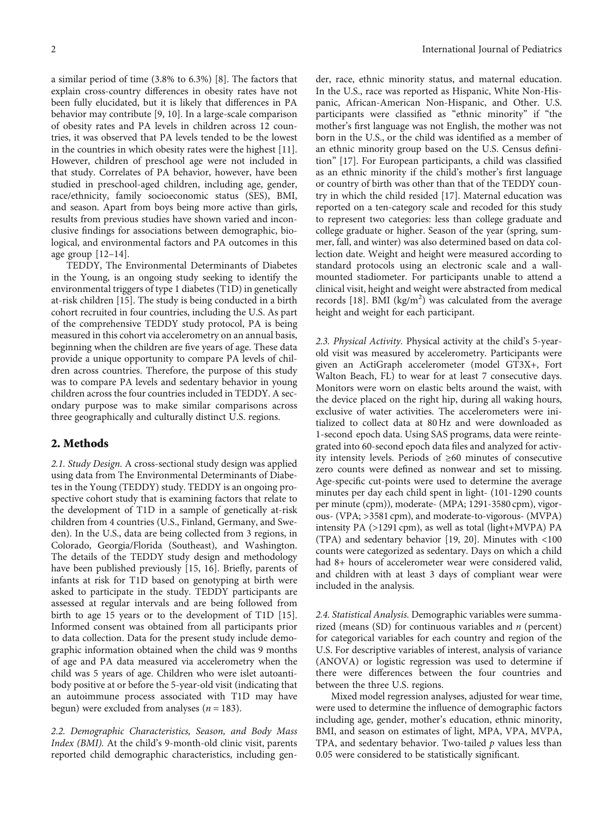a similar period of time (3.8% to 6.3%) [[8](#page-7-0)]. The factors that explain cross-country differences in obesity rates have not been fully elucidated, but it is likely that differences in PA behavior may contribute [\[9, 10](#page-7-0)]. In a large-scale comparison of obesity rates and PA levels in children across 12 countries, it was observed that PA levels tended to be the lowest in the countries in which obesity rates were the highest [[11](#page-7-0)]. However, children of preschool age were not included in that study. Correlates of PA behavior, however, have been studied in preschool-aged children, including age, gender, race/ethnicity, family socioeconomic status (SES), BMI, and season. Apart from boys being more active than girls, results from previous studies have shown varied and inconclusive findings for associations between demographic, biological, and environmental factors and PA outcomes in this age group  $[12-14]$  $[12-14]$  $[12-14]$  $[12-14]$  $[12-14]$ .

TEDDY, The Environmental Determinants of Diabetes in the Young, is an ongoing study seeking to identify the environmental triggers of type 1 diabetes (T1D) in genetically at-risk children [\[15\]](#page-8-0). The study is being conducted in a birth cohort recruited in four countries, including the U.S. As part of the comprehensive TEDDY study protocol, PA is being measured in this cohort via accelerometry on an annual basis, beginning when the children are five years of age. These data provide a unique opportunity to compare PA levels of children across countries. Therefore, the purpose of this study was to compare PA levels and sedentary behavior in young children across the four countries included in TEDDY. A secondary purpose was to make similar comparisons across three geographically and culturally distinct U.S. regions.

#### 2. Methods

2.1. Study Design. A cross-sectional study design was applied using data from The Environmental Determinants of Diabetes in the Young (TEDDY) study. TEDDY is an ongoing prospective cohort study that is examining factors that relate to the development of T1D in a sample of genetically at-risk children from 4 countries (U.S., Finland, Germany, and Sweden). In the U.S., data are being collected from 3 regions, in Colorado, Georgia/Florida (Southeast), and Washington. The details of the TEDDY study design and methodology have been published previously [\[15](#page-8-0), [16](#page-8-0)]. Briefly, parents of infants at risk for T1D based on genotyping at birth were asked to participate in the study. TEDDY participants are assessed at regular intervals and are being followed from birth to age 15 years or to the development of T1D [[15](#page-8-0)]. Informed consent was obtained from all participants prior to data collection. Data for the present study include demographic information obtained when the child was 9 months of age and PA data measured via accelerometry when the child was 5 years of age. Children who were islet autoantibody positive at or before the 5-year-old visit (indicating that an autoimmune process associated with T1D may have begun) were excluded from analyses  $(n = 183)$ .

2.2. Demographic Characteristics, Season, and Body Mass Index (BMI). At the child's 9-month-old clinic visit, parents reported child demographic characteristics, including gender, race, ethnic minority status, and maternal education. In the U.S., race was reported as Hispanic, White Non-Hispanic, African-American Non-Hispanic, and Other. U.S. participants were classified as "ethnic minority" if "the mother's first language was not English, the mother was not born in the U.S., or the child was identified as a member of an ethnic minority group based on the U.S. Census definition" [[17](#page-8-0)]. For European participants, a child was classified as an ethnic minority if the child's mother's first language or country of birth was other than that of the TEDDY country in which the child resided [\[17\]](#page-8-0). Maternal education was reported on a ten-category scale and recoded for this study to represent two categories: less than college graduate and college graduate or higher. Season of the year (spring, summer, fall, and winter) was also determined based on data collection date. Weight and height were measured according to standard protocols using an electronic scale and a wallmounted stadiometer. For participants unable to attend a clinical visit, height and weight were abstracted from medical records [\[18\]](#page-8-0). BMI (kg/m<sup>2</sup>) was calculated from the average height and weight for each participant.

2.3. Physical Activity. Physical activity at the child's 5-yearold visit was measured by accelerometry. Participants were given an ActiGraph accelerometer (model GT3X+, Fort Walton Beach, FL) to wear for at least 7 consecutive days. Monitors were worn on elastic belts around the waist, with the device placed on the right hip, during all waking hours, exclusive of water activities. The accelerometers were initialized to collect data at 80 Hz and were downloaded as 1-second epoch data. Using SAS programs, data were reintegrated into 60-second epoch data files and analyzed for activity intensity levels. Periods of ≥60 minutes of consecutive zero counts were defined as nonwear and set to missing. Age-specific cut-points were used to determine the average minutes per day each child spent in light- (101-1290 counts per minute (cpm)), moderate- (MPA; 1291-3580 cpm), vigorous- (VPA; >3581 cpm), and moderate-to-vigorous- (MVPA) intensity PA (>1291 cpm), as well as total (light+MVPA) PA (TPA) and sedentary behavior [[19](#page-8-0), [20\]](#page-8-0). Minutes with <100 counts were categorized as sedentary. Days on which a child had 8+ hours of accelerometer wear were considered valid, and children with at least 3 days of compliant wear were included in the analysis.

2.4. Statistical Analysis. Demographic variables were summarized (means (SD) for continuous variables and *n* (percent) for categorical variables for each country and region of the U.S. For descriptive variables of interest, analysis of variance (ANOVA) or logistic regression was used to determine if there were differences between the four countries and between the three U.S. regions.

Mixed model regression analyses, adjusted for wear time, were used to determine the influence of demographic factors including age, gender, mother's education, ethnic minority, BMI, and season on estimates of light, MPA, VPA, MVPA, TPA, and sedentary behavior. Two-tailed *p* values less than 0.05 were considered to be statistically significant.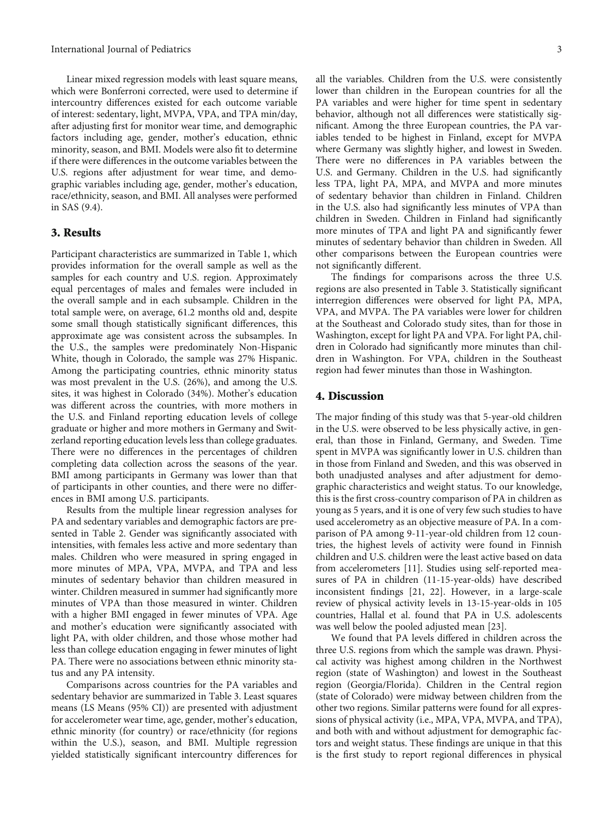Linear mixed regression models with least square means, which were Bonferroni corrected, were used to determine if intercountry differences existed for each outcome variable of interest: sedentary, light, MVPA, VPA, and TPA min/day, after adjusting first for monitor wear time, and demographic factors including age, gender, mother's education, ethnic minority, season, and BMI. Models were also fit to determine if there were differences in the outcome variables between the U.S. regions after adjustment for wear time, and demographic variables including age, gender, mother's education, race/ethnicity, season, and BMI. All analyses were performed in SAS (9.4).

#### 3. Results

Participant characteristics are summarized in Table [1](#page-3-0), which provides information for the overall sample as well as the samples for each country and U.S. region. Approximately equal percentages of males and females were included in the overall sample and in each subsample. Children in the total sample were, on average, 61.2 months old and, despite some small though statistically significant differences, this approximate age was consistent across the subsamples. In the U.S., the samples were predominately Non-Hispanic White, though in Colorado, the sample was 27% Hispanic. Among the participating countries, ethnic minority status was most prevalent in the U.S. (26%), and among the U.S. sites, it was highest in Colorado (34%). Mother's education was different across the countries, with more mothers in the U.S. and Finland reporting education levels of college graduate or higher and more mothers in Germany and Switzerland reporting education levels less than college graduates. There were no differences in the percentages of children completing data collection across the seasons of the year. BMI among participants in Germany was lower than that of participants in other counties, and there were no differences in BMI among U.S. participants.

Results from the multiple linear regression analyses for PA and sedentary variables and demographic factors are presented in Table [2.](#page-4-0) Gender was significantly associated with intensities, with females less active and more sedentary than males. Children who were measured in spring engaged in more minutes of MPA, VPA, MVPA, and TPA and less minutes of sedentary behavior than children measured in winter. Children measured in summer had significantly more minutes of VPA than those measured in winter. Children with a higher BMI engaged in fewer minutes of VPA. Age and mother's education were significantly associated with light PA, with older children, and those whose mother had less than college education engaging in fewer minutes of light PA. There were no associations between ethnic minority status and any PA intensity.

Comparisons across countries for the PA variables and sedentary behavior are summarized in Table [3.](#page-5-0) Least squares means (LS Means (95% CI)) are presented with adjustment for accelerometer wear time, age, gender, mother's education, ethnic minority (for country) or race/ethnicity (for regions within the U.S.), season, and BMI. Multiple regression yielded statistically significant intercountry differences for all the variables. Children from the U.S. were consistently lower than children in the European countries for all the PA variables and were higher for time spent in sedentary behavior, although not all differences were statistically significant. Among the three European countries, the PA variables tended to be highest in Finland, except for MVPA where Germany was slightly higher, and lowest in Sweden. There were no differences in PA variables between the U.S. and Germany. Children in the U.S. had significantly less TPA, light PA, MPA, and MVPA and more minutes of sedentary behavior than children in Finland. Children in the U.S. also had significantly less minutes of VPA than children in Sweden. Children in Finland had significantly more minutes of TPA and light PA and significantly fewer minutes of sedentary behavior than children in Sweden. All other comparisons between the European countries were not significantly different.

The findings for comparisons across the three U.S. regions are also presented in Table [3](#page-5-0). Statistically significant interregion differences were observed for light PA, MPA, VPA, and MVPA. The PA variables were lower for children at the Southeast and Colorado study sites, than for those in Washington, except for light PA and VPA. For light PA, children in Colorado had significantly more minutes than children in Washington. For VPA, children in the Southeast region had fewer minutes than those in Washington.

#### 4. Discussion

The major finding of this study was that 5-year-old children in the U.S. were observed to be less physically active, in general, than those in Finland, Germany, and Sweden. Time spent in MVPA was significantly lower in U.S. children than in those from Finland and Sweden, and this was observed in both unadjusted analyses and after adjustment for demographic characteristics and weight status. To our knowledge, this is the first cross-country comparison of PA in children as young as 5 years, and it is one of very few such studies to have used accelerometry as an objective measure of PA. In a comparison of PA among 9-11-year-old children from 12 countries, the highest levels of activity were found in Finnish children and U.S. children were the least active based on data from accelerometers [[11](#page-7-0)]. Studies using self-reported measures of PA in children (11-15-year-olds) have described inconsistent findings [[21](#page-8-0), [22](#page-8-0)]. However, in a large-scale review of physical activity levels in 13-15-year-olds in 105 countries, Hallal et al. found that PA in U.S. adolescents was well below the pooled adjusted mean [[23](#page-8-0)].

We found that PA levels differed in children across the three U.S. regions from which the sample was drawn. Physical activity was highest among children in the Northwest region (state of Washington) and lowest in the Southeast region (Georgia/Florida). Children in the Central region (state of Colorado) were midway between children from the other two regions. Similar patterns were found for all expressions of physical activity (i.e., MPA, VPA, MVPA, and TPA), and both with and without adjustment for demographic factors and weight status. These findings are unique in that this is the first study to report regional differences in physical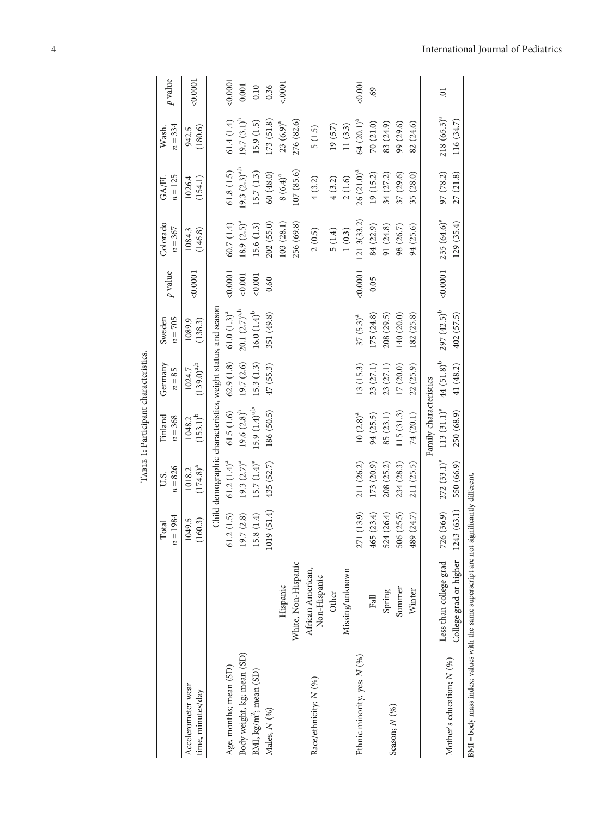<span id="page-3-0"></span>

|                                                                      |                                   | $n = 1984$<br>Total | $n = 826$<br>U.S.       | Finland<br>$n = 368$                                         | Germany<br>$n = 85$       | $n = 705$<br>Sweden | $p$ value | Colorado<br>$n = 367$ | $n = 125$<br>GA/FL | $n = 334$<br>Wash.     | p value |
|----------------------------------------------------------------------|-----------------------------------|---------------------|-------------------------|--------------------------------------------------------------|---------------------------|---------------------|-----------|-----------------------|--------------------|------------------------|---------|
| Accelerometer wear<br>time, minutes/day                              |                                   | 1049.5<br>(160.3)   | $(174.8)^{a}$<br>1018.2 | $(153.1)^{b}$<br>1048.2                                      | $(139.0)^{a,b}$<br>1024.7 | 1089.9<br>(138.3)   | 0.0001    | (146.8)<br>1084.3     | 1026.4<br>(154.1)  | (180.6)<br>942.5       | &0.0001 |
|                                                                      |                                   |                     |                         | Child demographic characteristics, weight status, and season |                           |                     |           |                       |                    |                        |         |
| Age, months; mean (SD)                                               |                                   | 61.2(1.5)           | $61.2 (1.4)^a$          | 61.5(1.6)                                                    | 62.9(1.8)                 | $61.0 (1.3)^a$      | 0.0001    | 60.7(1.4)             | 61.8(1.5)          | 61.4(1.4)              | &0.0001 |
| Body weight, kg; mean (SD)                                           |                                   | 19.7(2.8)           | $19.3 (2.7)^a$          | $19.6 (2.8)^b$                                               | 19.7(2.6)                 | $20.1 (2.7)^{a,b}$  | 0.001     | $18.9 (2.5)^{a}$      | $19.3 (2.3)^{a,b}$ | $19.7(3.1)^{p}$        | 0.001   |
| BMI, kg/m <sup>2</sup> ; mean (SD)                                   |                                   | (1.4)<br>15.8       | $15.7 (1.4)^a$          | $15.9 (1.4)^{a,b}$                                           | 15.3(1.3)                 | $16.0 (1.4)^b$      | 0.001     | 15.6(1.3)             | 15.7(1.3)          | 15.9(1.5)              | 0.10    |
| Males, N (%)                                                         |                                   | (51.4)<br>1019      | 435 (52.7)              | 186 (50.5)                                                   | 47(55.3)                  | 351 (49.8)          | 0.60      | 202 (55.0)            | 60(48.0)           | 173(51.8)              | 0.36    |
|                                                                      | Hispanic                          |                     |                         |                                                              |                           |                     |           | 103 (28.1)            | $8(6.4)^{a}$       | $23(6.9)^{a}$          | 50001   |
|                                                                      | White, Non-Hispanic               |                     |                         |                                                              |                           |                     |           | 256 (69.8)            | 107 (85.6)         | 276 (82.6)             |         |
| Race/ethnicity; N (%)                                                | African American,<br>Non-Hispanic |                     |                         |                                                              |                           |                     |           | 2(0.5)                | 4(3.2)             | 5(1.5)                 |         |
|                                                                      | Other                             |                     |                         |                                                              |                           |                     |           | 5(1.4)                | 4(3.2)             | 19(5.7)                |         |
|                                                                      | Missing/unknown                   |                     |                         |                                                              |                           |                     |           | 1(0.3)                | 2(1.6)             | 11(3.3)                |         |
| Ethnic minority, yes; N (%)                                          |                                   | (13.9)<br>271       | 211 (26.2)              | $10(2.8)^a$                                                  | 13 (15.3)                 | $37 (5.3)^a$        | 0.0001    | 1213(33.2)            | $26(21.0)^a$       | 64 (20.1) <sup>a</sup> | < 0.001 |
|                                                                      | Fall                              | (23.4)<br>465       | 173 (20.9)              | 94 (25.5)                                                    | 23 (27.1)                 | 175(24.8)           | 0.05      | 84 (22.9)             | 19 (15.2)          | 70 (21.0)              | 69      |
|                                                                      | Spring                            | (26.4)<br>524       | 208 (25.2)              | 85 (23.1)                                                    | 23 (27.1)                 | 208 (29.5)          |           | 91 (24.8)             | 34 (27.2)          | 83 (24.9)              |         |
| Season; N (%)                                                        | Summer                            | (25.5)<br>506       | 234 (28.3)              | 115(31.3)                                                    | 17(20.0)                  | 140 (20.0)          |           | 98 (26.7)             | 37 (29.6)          | 99 (29.6)              |         |
|                                                                      | Winter                            | (24.7)<br>489       | 211 (25.5)              | 74 (20.1)                                                    | 22(25.9)                  | (82(25.8))          |           | 94 (25.6)             | 35 (28.0)          | 82 (24.6)              |         |
|                                                                      |                                   |                     |                         | Family characteristics                                       |                           |                     |           |                       |                    |                        |         |
|                                                                      | Less than college grad            | (36.9)<br>726       |                         | $272 (33.1)^{a}$ 113 $(31.1)^{a}$                            | $44(51.8)^b$              | $297(42.5)^b$       | 0.0001    | $235(64.6)^a$         | 97 (78.2)          | $218(65.3)^a$          | 5.      |
| Mother's education; $N$ (%)                                          | College grad or higher            | (63.1)<br>1243      | 550 (66.9)              | 250 (68.9)                                                   | 41 (48.2)                 | 402 (57.5)          |           | 129(35.4)             | 27(21.8)           | 116(34.7)              |         |
| BMI = body mass index; values with the same superscript are not sign |                                   |                     | ificantly different.    |                                                              |                           |                     |           |                       |                    |                        |         |

TABLE 1: Participant characteristics. TABLE 1: Participant characteristics.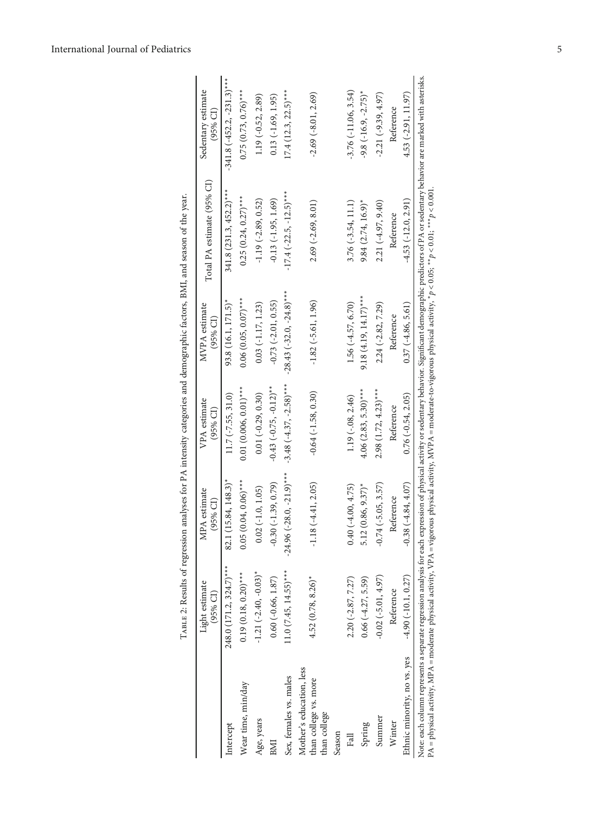|                                                                                                                                                                                   | TABLE 2: Results of regression |                               |                             | analyses for PA intensity categories and demographic factors, BMI, and season of the year. |                                                                                                                                                                                                                       |                                  |
|-----------------------------------------------------------------------------------------------------------------------------------------------------------------------------------|--------------------------------|-------------------------------|-----------------------------|--------------------------------------------------------------------------------------------|-----------------------------------------------------------------------------------------------------------------------------------------------------------------------------------------------------------------------|----------------------------------|
|                                                                                                                                                                                   | Light estimate<br>(95% CI)     | MPA estimate<br>$(95%$ CI)    | VPA estimate<br>$(95%$ CI)  | MVPA estimate<br>$(95%$ CI)                                                                | Total PA estimate (95% CI)                                                                                                                                                                                            | Sedentary estimate<br>$(95%$ CI) |
| Intercept                                                                                                                                                                         | 248.0 (171.2, 324.7)***        | $(15.84, 148.3)^*$<br>82.1    | $11.7 (-7.55, 31.0)$        | 93.8 (16.1, 171.5)*                                                                        | $341.8$ (231.3, 452.2) <sup>***</sup>                                                                                                                                                                                 | $-341.8$ $(-452.2, -231.3)$ ***  |
| Wear time, min/day                                                                                                                                                                | $0.19(0.18, 0.20)$ ***         | $(0.04, 0.06)$ ***<br>0.05(   | $0.01(0.006, 0.01)$ ***     | $0.06(0.05, 0.07)$ ***                                                                     | $0.25(0.24, 0.27)$ ***                                                                                                                                                                                                | $0.75(0.73, 0.76)$ ***           |
| Age, years                                                                                                                                                                        | $-1.21$ $(-2.40, -0.03)^*$     | $0.02$ (-1.0, 1.05)           | $0.01 (-0.29, 0.30)$        | $0.03$ ( $-1.17$ , 1.23)                                                                   | $-1.19(-2.89, 0.52)$                                                                                                                                                                                                  | 1.19 (-0.52, 2.89)               |
| BMI                                                                                                                                                                               | $0.60 (-0.66, 1.87)$           | $-0.30(-1.39, 0.79)$          | $-0.43$ $(-0.75, -0.12)$ ** | $-0.73$ $(-2.01, 0.55)$                                                                    | $-0.13(-1.95, 1.69)$                                                                                                                                                                                                  | $0.13(-1.69, 1.95)$              |
| Sex, females vs. males                                                                                                                                                            | $11.0 (7.45, 14.55)$ ***       | $-24.96$ $(-28.0, -21.9)$ *** | $-3.48(-4.37, -2.58)$ ***   | $-28.43$ $(-32.0, -24.8)$ ***                                                              | $-17.4$ $(-22.5, -12.5)$ ***                                                                                                                                                                                          | $17.4$ (12.3, 22.5)***           |
| Mother's education, less<br>than college vs. more<br>than college                                                                                                                 | $4.52(0.78, 8.26)$ *           | $-1.18(-4.41, 2.05)$          | $-0.64$ $(-1.58, 0.30)$     | $-1.82$ ( $-5.61, 1.96$ )                                                                  | $2.69$ (-2.69, 8.01)                                                                                                                                                                                                  | $-2.69(-8.01, 2.69)$             |
| Season                                                                                                                                                                            |                                |                               |                             |                                                                                            |                                                                                                                                                                                                                       |                                  |
| Fall                                                                                                                                                                              | $2.20(-2.87, 7.27)$            | $0.40(-4.00, 4.75)$           | $1.19(-0.08, 2.46)$         | $1.56(-4.57, 6.70)$                                                                        | $3.76(-3.54, 11.1)$                                                                                                                                                                                                   | $-3.76(-11.06, 3.54)$            |
| Spring                                                                                                                                                                            | $0.66(-4.27, 5.59)$            | $5.12(0.86, 9.37)$ *          | $4.06$ (2.83, 5.30)***      | $9.18(4.19, 14.17)$ ***                                                                    | $9.84$ $(2.74, 16.9)^*$                                                                                                                                                                                               | $-9.8$ $(-16.9, -2.75)^*$        |
| Summer                                                                                                                                                                            | $-0.02(-5.01, 4.97)$           | $-0.74$ ( $-5.05, 3.57$ )     | $2.98(1.72, 4.23)$ ***      | $2.24 (-2.82, 7.29)$                                                                       | $2.21(-4.97, 9.40)$                                                                                                                                                                                                   | $-2.21(-9.39, 4.97)$             |
| Winter                                                                                                                                                                            | Reference                      | Reference                     | Reference                   | Reference                                                                                  | Reference                                                                                                                                                                                                             | Reference                        |
| Ethnic minority, no vs. yes                                                                                                                                                       | $-4.90(-10.1, 0.27)$           | $-0.38(-4.84, 4.07)$          | $0.76(-0.54, 2.05)$         | $0.37(-4.86, 5.61)$                                                                        | $-4.53(-12.0, 2.91)$                                                                                                                                                                                                  | 4.53 (-2.91, 11.97)              |
| PA = physical activity, MPA = moderate physical activity, VPA = vigorous physical activity, MVPA = moderate-to-vigorous physical activity, * p < 0.05; ** p < 0.01; ** p < 0.001. |                                |                               |                             |                                                                                            | Note: each column represents a separate regression analysis for each expression of physical activity or sedentary behavior. Significant demographic predictors of PA or sedentary behavior are marked with asterisks. |                                  |

<span id="page-4-0"></span>International Journal of Pediatrics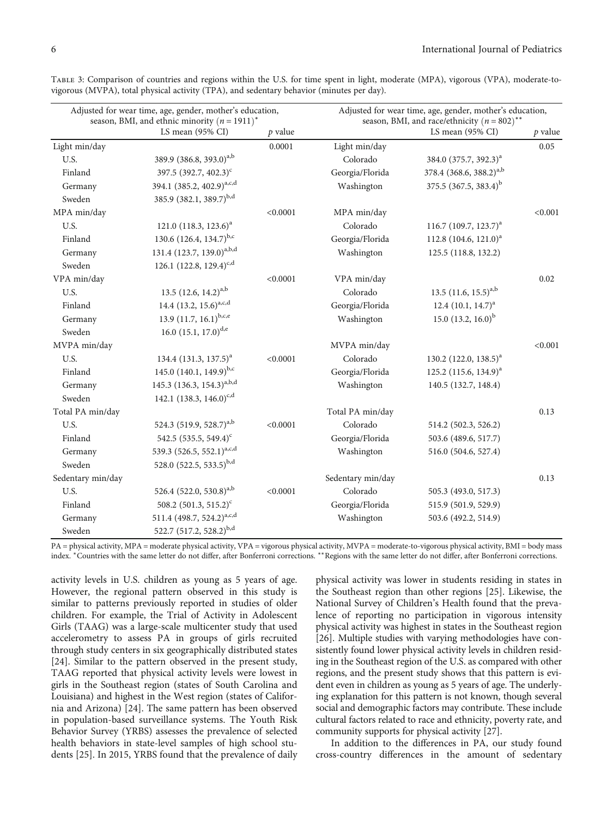| Adjusted for wear time, age, gender, mother's education,<br>season, BMI, and ethnic minority $(n = 1911)^*$ |                                       |           | Adjusted for wear time, age, gender, mother's education,<br>season, BMI, and race/ethnicity ( $n = 802$ ) <sup>**</sup> |                                     |           |
|-------------------------------------------------------------------------------------------------------------|---------------------------------------|-----------|-------------------------------------------------------------------------------------------------------------------------|-------------------------------------|-----------|
|                                                                                                             | LS mean (95% CI)                      | $p$ value |                                                                                                                         | LS mean $(95\% \text{ CI})$         | $p$ value |
| Light min/day                                                                                               |                                       | 0.0001    | Light min/day                                                                                                           |                                     | 0.05      |
| U.S.                                                                                                        | 389.9 (386.8, 393.0) <sup>a,b</sup>   |           | Colorado                                                                                                                | 384.0 (375.7, 392.3) <sup>a</sup>   |           |
| Finland                                                                                                     | 397.5 (392.7, 402.3) <sup>c</sup>     |           | Georgia/Florida                                                                                                         | 378.4 (368.6, 388.2) <sup>a,b</sup> |           |
| Germany                                                                                                     | 394.1 (385.2, 402.9) <sup>a,c,d</sup> |           | Washington                                                                                                              | 375.5 $(367.5, 383.4)^b$            |           |
| Sweden                                                                                                      | 385.9 (382.1, 389.7) <sup>b,d</sup>   |           |                                                                                                                         |                                     |           |
| MPA min/day                                                                                                 |                                       | < 0.0001  | MPA min/day                                                                                                             |                                     | < 0.001   |
| U.S.                                                                                                        | 121.0 $(118.3, 123.6)^a$              |           | Colorado                                                                                                                | 116.7 $(109.7, 123.7)^{a}$          |           |
| Finland                                                                                                     | 130.6 $(126.4, 134.7)^{b,c}$          |           | Georgia/Florida                                                                                                         | 112.8 $(104.6, 121.0)^{a}$          |           |
| Germany                                                                                                     | 131.4 (123.7, 139.0) <sup>a,b,d</sup> |           | Washington                                                                                                              | 125.5 (118.8, 132.2)                |           |
| Sweden                                                                                                      | 126.1 $(122.8, 129.4)^{c,d}$          |           |                                                                                                                         |                                     |           |
| VPA min/day                                                                                                 |                                       | < 0.0001  | VPA min/day                                                                                                             |                                     | 0.02      |
| U.S.                                                                                                        | 13.5 $(12.6, 14.2)^{a,b}$             |           | Colorado                                                                                                                | 13.5 $(11.6, 15.5)^{a,b}$           |           |
| Finland                                                                                                     | 14.4 $(13.2, 15.6)^{a,c,d}$           |           | Georgia/Florida                                                                                                         | 12.4 $(10.1, 14.7)^a$               |           |
| Germany                                                                                                     | 13.9 $(11.7, 16.1)^{b,c,e}$           |           | Washington                                                                                                              | 15.0 $(13.2, 16.0)^{b}$             |           |
| Sweden                                                                                                      | 16.0 $(15.1, 17.0)^{d,e}$             |           |                                                                                                                         |                                     |           |
| MVPA min/day                                                                                                |                                       |           | MVPA min/day                                                                                                            |                                     | < 0.001   |
| U.S.                                                                                                        | 134.4 $(131.3, 137.5)^a$              | < 0.0001  | Colorado                                                                                                                | 130.2 $(122.0, 138.5)^{a}$          |           |
| Finland                                                                                                     | 145.0 $(140.1, 149.9)^{b,c}$          |           | Georgia/Florida                                                                                                         | 125.2 $(115.6, 134.9)^{a}$          |           |
| Germany                                                                                                     | 145.3 $(136.3, 154.3)^{a,b,d}$        |           | Washington                                                                                                              | 140.5 (132.7, 148.4)                |           |
| Sweden                                                                                                      | 142.1 $(138.3, 146.0)^{c,d}$          |           |                                                                                                                         |                                     |           |
| Total PA min/day                                                                                            |                                       |           | Total PA min/day                                                                                                        |                                     | 0.13      |
| U.S.                                                                                                        | 524.3 (519.9, 528.7) <sup>a,b</sup>   | < 0.0001  | Colorado                                                                                                                | 514.2 (502.3, 526.2)                |           |
| Finland                                                                                                     | 542.5 (535.5, 549.4) <sup>c</sup>     |           | Georgia/Florida                                                                                                         | 503.6 (489.6, 517.7)                |           |
| Germany                                                                                                     | 539.3 (526.5, 552.1) <sup>a,c,d</sup> |           | Washington                                                                                                              | 516.0 (504.6, 527.4)                |           |
| Sweden                                                                                                      | 528.0 (522.5, 533.5) <sup>b,d</sup>   |           |                                                                                                                         |                                     |           |
| Sedentary min/day                                                                                           |                                       |           | Sedentary min/day                                                                                                       |                                     | 0.13      |
| U.S.                                                                                                        | 526.4 $(522.0, 530.8)^{a,b}$          | < 0.0001  | Colorado                                                                                                                | 505.3 (493.0, 517.3)                |           |
| Finland                                                                                                     | 508.2 (501.3, 515.2) <sup>c</sup>     |           | Georgia/Florida                                                                                                         | 515.9 (501.9, 529.9)                |           |
| Germany                                                                                                     | 511.4 (498.7, 524.2) <sup>a,c,d</sup> |           | Washington                                                                                                              | 503.6 (492.2, 514.9)                |           |
| Sweden                                                                                                      | 522.7 (517.2, 528.2) <sup>b,d</sup>   |           |                                                                                                                         |                                     |           |

<span id="page-5-0"></span>Table 3: Comparison of countries and regions within the U.S. for time spent in light, moderate (MPA), vigorous (VPA), moderate-tovigorous (MVPA), total physical activity (TPA), and sedentary behavior (minutes per day).

PA = physical activity, MPA = moderate physical activity, VPA = vigorous physical activity, MVPA = moderate-to-vigorous physical activity, BMI = body mass index. <sup>∗</sup>Countries with the same letter do not differ, after Bonferroni corrections. ∗∗Regions with the same letter do not differ, after Bonferroni corrections.

activity levels in U.S. children as young as 5 years of age. However, the regional pattern observed in this study is similar to patterns previously reported in studies of older children. For example, the Trial of Activity in Adolescent Girls (TAAG) was a large-scale multicenter study that used accelerometry to assess PA in groups of girls recruited through study centers in six geographically distributed states [\[24](#page-8-0)]. Similar to the pattern observed in the present study, TAAG reported that physical activity levels were lowest in girls in the Southeast region (states of South Carolina and Louisiana) and highest in the West region (states of California and Arizona) [\[24\]](#page-8-0). The same pattern has been observed in population-based surveillance systems. The Youth Risk Behavior Survey (YRBS) assesses the prevalence of selected health behaviors in state-level samples of high school students [[25](#page-8-0)]. In 2015, YRBS found that the prevalence of daily

physical activity was lower in students residing in states in the Southeast region than other regions [[25](#page-8-0)]. Likewise, the National Survey of Children's Health found that the prevalence of reporting no participation in vigorous intensity physical activity was highest in states in the Southeast region [\[26\]](#page-8-0). Multiple studies with varying methodologies have consistently found lower physical activity levels in children residing in the Southeast region of the U.S. as compared with other regions, and the present study shows that this pattern is evident even in children as young as 5 years of age. The underlying explanation for this pattern is not known, though several social and demographic factors may contribute. These include cultural factors related to race and ethnicity, poverty rate, and community supports for physical activity [[27\]](#page-8-0).

In addition to the differences in PA, our study found cross-country differences in the amount of sedentary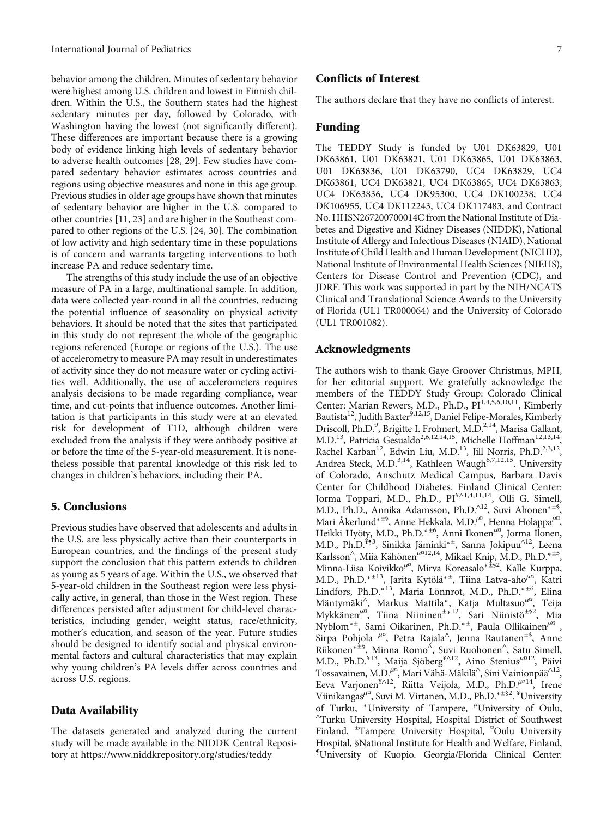behavior among the children. Minutes of sedentary behavior were highest among U.S. children and lowest in Finnish children. Within the U.S., the Southern states had the highest sedentary minutes per day, followed by Colorado, with Washington having the lowest (not significantly different). These differences are important because there is a growing body of evidence linking high levels of sedentary behavior to adverse health outcomes [\[28, 29\]](#page-8-0). Few studies have compared sedentary behavior estimates across countries and regions using objective measures and none in this age group. Previous studies in older age groups have shown that minutes of sedentary behavior are higher in the U.S. compared to other countries [[11,](#page-7-0) [23](#page-8-0)] and are higher in the Southeast compared to other regions of the U.S. [[24](#page-8-0), [30\]](#page-8-0). The combination of low activity and high sedentary time in these populations is of concern and warrants targeting interventions to both increase PA and reduce sedentary time.

The strengths of this study include the use of an objective measure of PA in a large, multinational sample. In addition, data were collected year-round in all the countries, reducing the potential influence of seasonality on physical activity behaviors. It should be noted that the sites that participated in this study do not represent the whole of the geographic regions referenced (Europe or regions of the U.S.). The use of accelerometry to measure PA may result in underestimates of activity since they do not measure water or cycling activities well. Additionally, the use of accelerometers requires analysis decisions to be made regarding compliance, wear time, and cut-points that influence outcomes. Another limitation is that participants in this study were at an elevated risk for development of T1D, although children were excluded from the analysis if they were antibody positive at or before the time of the 5-year-old measurement. It is nonetheless possible that parental knowledge of this risk led to changes in children's behaviors, including their PA.

#### 5. Conclusions

Previous studies have observed that adolescents and adults in the U.S. are less physically active than their counterparts in European countries, and the findings of the present study support the conclusion that this pattern extends to children as young as 5 years of age. Within the U.S., we observed that 5-year-old children in the Southeast region were less physically active, in general, than those in the West region. These differences persisted after adjustment for child-level characteristics, including gender, weight status, race/ethnicity, mother's education, and season of the year. Future studies should be designed to identify social and physical environmental factors and cultural characteristics that may explain why young children's PA levels differ across countries and across U.S. regions.

#### Data Availability

The datasets generated and analyzed during the current study will be made available in the NIDDK Central Repository at<https://www.niddkrepository.org/studies/teddy>

#### Conflicts of Interest

The authors declare that they have no conflicts of interest.

#### Funding

The TEDDY Study is funded by U01 DK63829, U01 DK63861, U01 DK63821, U01 DK63865, U01 DK63863, U01 DK63836, U01 DK63790, UC4 DK63829, UC4 DK63861, UC4 DK63821, UC4 DK63865, UC4 DK63863, UC4 DK63836, UC4 DK95300, UC4 DK100238, UC4 DK106955, UC4 DK112243, UC4 DK117483, and Contract No. HHSN267200700014C from the National Institute of Diabetes and Digestive and Kidney Diseases (NIDDK), National Institute of Allergy and Infectious Diseases (NIAID), National Institute of Child Health and Human Development (NICHD), National Institute of Environmental Health Sciences (NIEHS), Centers for Disease Control and Prevention (CDC), and JDRF. This work was supported in part by the NIH/NCATS Clinical and Translational Science Awards to the University of Florida (UL1 TR000064) and the University of Colorado (UL1 TR001082).

#### Acknowledgments

The authors wish to thank Gaye Groover Christmus, MPH, for her editorial support. We gratefully acknowledge the members of the TEDDY Study Group: Colorado Clinical Center: Marian Rewers, M.D., Ph.D., PI<sup>1,4,5,6,10,11</sup>, Kimberly Bautista<sup>12</sup>, Judith Baxter<sup>9,12,15</sup>, Daniel Felipe-Morales, Kimberly Driscoll, Ph.D.<sup>9</sup>, Brigitte I. Frohnert, M.D.<sup>2,14</sup>, Marisa Gallant, M.D.<sup>13</sup>, Patricia Gesualdo<sup>2,6,12,14,15</sup>, Michelle Hoffman<sup>12,13,14</sup>, Rachel Karban<sup>12</sup>, Edwin Liu, M.D.<sup>13</sup>, Jill Norris, Ph.D.<sup>2,3,12</sup>, Andrea Steck, M.D.<sup>3,14</sup>, Kathleen Waugh<sup>6,7,12,15</sup>. University of Colorado, Anschutz Medical Campus, Barbara Davis Center for Childhood Diabetes. Finland Clinical Center: Jorma Toppari, M.D., Ph.D., PI¥∧1,4,11,14, Olli G. Simell, M.D., Ph.D., Annika Adamsson, Ph.D.<sup>∧</sup>12, Suvi Ahonen∗±§ , Mari Åkerlund<sup>∗±§</sup>, Anne Hekkala, M.D.<sup>µ¤</sup>, Henna Holappa<sup>µ¤</sup>, Heikki Hyöty, M.D., Ph.D.<sup>∗±6</sup>, Anni Ikonen<sup>µ¤</sup>, Jorma Ilonen, M.D., Ph.D.<sup>¥g3</sup>, Sinikka Jäminki<sup>∗±</sup>, Sanna Jokipuu<sup>∧12</sup>, Leena Karlsson<sup>^</sup>, Miia Kähönen<sup>µ¤12,14</sup>, Mikael Knip, M.D., Ph.D.<sup>∗±5</sup>, Minna-Liisa Koivikko*μ*¤ , Mirva Koreasalo<sup>∗</sup><sup>±</sup>§2, Kalle Kurppa, M.D., Ph.D.<sup>∗</sup><sup>±</sup>13, Jarita Kytölä∗<sup>±</sup> , Tiina Latva-aho*μ*¤ , Katri Lindfors, Ph.D.<sup>∗13</sup>, Maria Lönnrot, M.D., Ph.D.<sup>∗±6</sup>, Elina Mäntymäki<sup>∧</sup> , Markus Mattila<sup>∗</sup>, Katja Multasuo*μ*¤ , Teija Mykkänen<sup>µ¤</sup>, Tiina Niininen<sup>±∗12</sup>, Sari Niinistö<sup>±§2</sup>, Mia Nyblom<sup>∗</sup><sup>±</sup> , Sami Oikarinen, Ph.D.<sup>∗</sup><sup>±</sup> , Paula Ollikainen*μ*¤ , Sirpa Pohjola <sup>µ¤</sup>, Petra Rajala<sup>^</sup>, Jenna Rautanen<sup>±§</sup>, Anne Riikonen<sup>∗±§</sup>, Minna Romo<sup>∧</sup>, Suvi Ruohonen^, Satu Simell, M.D., Ph.D.¥13, Maija Sjöberg¥∧12, Aino Stenius*<sup>μ</sup>*¤12, Päivi Tossavainen, M.D.<sup>µ¤</sup>, Mari Vähä-Mäkilä^, Sini Vainionpää^<sup>12</sup>, Eeva Varjonen¥∧12, Riitta Veijola, M.D., Ph.D.*<sup>μ</sup>*¤14, Irene Viinikangas<sup>µ¤</sup>, Suvi M. Virtanen, M.D., Ph.D.<sup>\*±§2</sup>. <sup>¥</sup>University of Turku, <sup>\*</sup>University of Tampere, <sup>μ</sup>'University of Oulu, Turku University Hospital, Hospital District of Southwest Finland, <sup>±</sup>Tampere University Hospital, <sup>"</sup>Oulu University Hospital, §National Institute for Health and Welfare, Finland, ¶ University of Kuopio. Georgia/Florida Clinical Center: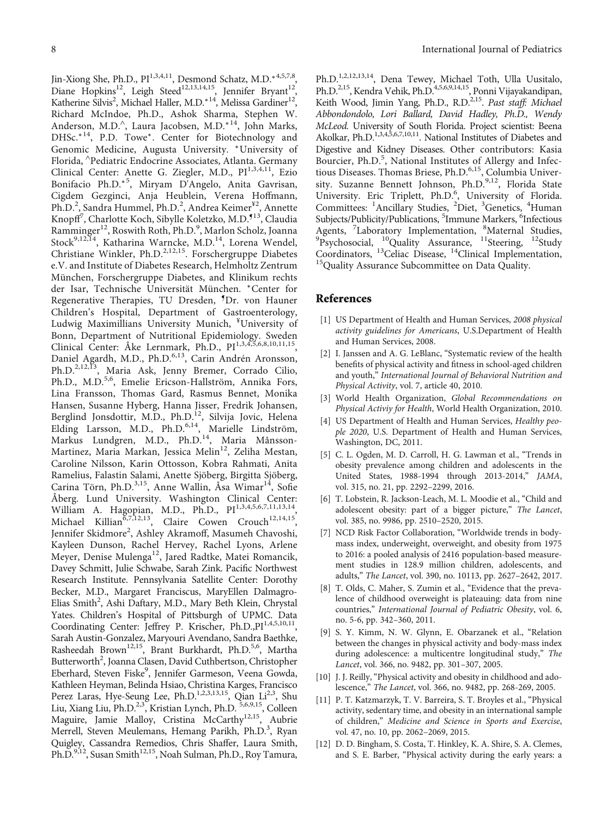<span id="page-7-0"></span>Jin-Xiong She, Ph.D., PI<sup>1,3,4,11</sup>, Desmond Schatz, M.D.<sup>\*4,5,7,8</sup>, Diane Hopkins<sup>12</sup>, Leigh Steed<sup>12,13,14,15</sup>, Jennifer Bryant<sup>12</sup>, Katherine Silvis<sup>2</sup>, Michael Haller, M.D.<sup>∗14</sup>, Melissa Gardiner<sup>12</sup>, Richard McIndoe, Ph.D., Ashok Sharma, Stephen W. Anderson, M.D.<sup>∧</sup> , Laura Jacobsen, M.D.<sup>∗</sup>14, John Marks, DHSc.<sup>∗14</sup>, P.D. Towe<sup>\*</sup>. Center for Biotechnology and Genomic Medicine, Augusta University. <sup>∗</sup>University of Florida, <sup>∧</sup> Pediatric Endocrine Associates, Atlanta. Germany Clinical Center: Anette G. Ziegler, M.D., PI<sup>1,3,4,11</sup>, Ezio Bonifacio Ph.D.<sup>∗</sup><sup>5</sup> , Miryam D'Angelo, Anita Gavrisan, Cigdem Gezginci, Anja Heublein, Verena Hoffmann, Ph.D.<sup>2</sup>, Sandra Hummel, Ph.D.<sup>2</sup>, Andrea Keimer<sup>¥2</sup>, Annette Knopff<sup>7</sup>, Charlotte Koch, Sibylle Koletzko, M.D.<sup>¶13</sup>, Claudia Ramminger<sup>12</sup>, Roswith Roth, Ph.D.<sup>9</sup>, Marlon Scholz, Joanna Stock<sup>9,12,14</sup>, Katharina Warncke, M.D.<sup>14</sup>, Lorena Wendel, Christiane Winkler, Ph.D.<sup>2,12,15</sup>. Forschergruppe Diabetes e.V. and Institute of Diabetes Research, Helmholtz Zentrum München, Forschergruppe Diabetes, and Klinikum rechts der Isar, Technische Universität München. <sup>∗</sup>Center for Regenerative Therapies, TU Dresden, <sup>¶</sup>Dr. von Hauner Children's Hospital, Department of Gastroenterology, Ludwig Maximillians University Munich, <sup>¥</sup>University of Bonn, Department of Nutritional Epidemiology. Sweden Clinical Center: Åke Lernmark, Ph.D., PI<sup>1,3,4,5,6,8,10,11,15</sup> Daniel Agardh, M.D., Ph.D.<sup>6,13</sup>, Carin Andrén Aronsson, Ph.D.<sup>2,12,13</sup>, Maria Ask, Jenny Bremer, Corrado Cilio, Ph.D., M.D.<sup>5,6</sup>, Emelie Ericson-Hallström, Annika Fors, Lina Fransson, Thomas Gard, Rasmus Bennet, Monika Hansen, Susanne Hyberg, Hanna Jisser, Fredrik Johansen, Berglind Jonsdottir, M.D., Ph.D.<sup>12</sup>, Silvija Jovic, Helena Elding Larsson, M.D., Ph.D.<sup>6,14</sup>, Marielle Lindström, Markus Lundgren, M.D., Ph.D.<sup>14</sup>, Maria Månsson-Martinez, Maria Markan, Jessica Melin<sup>12</sup>, Zeliha Mestan, Caroline Nilsson, Karin Ottosson, Kobra Rahmati, Anita Ramelius, Falastin Salami, Anette Sjöberg, Birgitta Sjöberg, Carina Törn, Ph.D.<sup>3,15</sup>, Anne Wallin, Åsa Wimar<sup>14</sup>, Sofie Åberg. Lund University. Washington Clinical Center: William A. Hagopian, M.D., Ph.D., PI<sup>1,3,4,5,6,7,11,13,14</sup>, Michael Killian<sup> $\tilde{6}$ , 7,12,13</sup>, Claire Cowen Crouch<sup>12,14,15</sup>, Jennifer Skidmore<sup>2</sup>, Ashley Akramoff, Masumeh Chavoshi, Kayleen Dunson, Rachel Hervey, Rachel Lyons, Arlene Meyer, Denise Mulenga<sup>12</sup>, Jared Radtke, Matei Romancik, Davey Schmitt, Julie Schwabe, Sarah Zink. Pacific Northwest Research Institute. Pennsylvania Satellite Center: Dorothy Becker, M.D., Margaret Franciscus, MaryEllen Dalmagro-Elias Smith<sup>2</sup>, Ashi Daftary, M.D., Mary Beth Klein, Chrystal Yates. Children's Hospital of Pittsburgh of UPMC. Data Coordinating Center: Jeffrey P. Krischer, Ph.D., PI<sup>1,4,5,10,11</sup>, Sarah Austin-Gonzalez, Maryouri Avendano, Sandra Baethke, Rasheedah Brown<sup>12,15</sup>, Brant Burkhardt, Ph.D.<sup>5,6</sup>, Martha Butterworth<sup>2</sup>, Joanna Clasen, David Cuthbertson, Christopher Eberhard, Steven Fiske<sup>9</sup>, Jennifer Garmeson, Veena Gowda, Kathleen Heyman, Belinda Hsiao, Christina Karges, Francisco Perez Laras, Hye-Seung Lee, Ph.D.<sup>1,2,3,13,15</sup>, Qian Li<sup>2,3</sup>, Shu Liu, Xiang Liu, Ph.D.<sup>2,3</sup>, Kristian Lynch, Ph.D. <sup>5,6,9,15</sup>, Colleen Maguire, Jamie Malloy, Cristina McCarthy<sup>12,15</sup>, Aubrie Merrell, Steven Meulemans, Hemang Parikh, Ph.D.<sup>3</sup>, Ryan Quigley, Cassandra Remedios, Chris Shaffer, Laura Smith, Ph.D.<sup>9,12</sup>, Susan Smith<sup>12,15</sup>, Noah Sulman, Ph.D., Roy Tamura,

Ph.D.<sup>1,2,12,13,14</sup>, Dena Tewey, Michael Toth, Ulla Uusitalo, Ph.D.<sup>2,15</sup>, Kendra Vehik, Ph.D.<sup>4,5,6,9,14,15</sup>, Ponni Vijayakandipan, Keith Wood, Jimin Yang, Ph.D., R.D.<sup>2,15</sup>. Past staff: Michael Abbondondolo, Lori Ballard, David Hadley, Ph.D., Wendy McLeod. University of South Florida. Project scientist: Beena Akolkar, Ph.D.<sup>1,3,4,5,6,7,10,11</sup>. National Institutes of Diabetes and Digestive and Kidney Diseases. Other contributors: Kasia Bourcier, Ph.D.<sup>5</sup>, National Institutes of Allergy and Infectious Diseases. Thomas Briese, Ph.D.<sup>6,15</sup>, Columbia University. Suzanne Bennett Johnson, Ph.D.<sup>9,12</sup>, Florida State University. Eric Triplett, Ph.D.<sup>6</sup>, University of Florida. Committees: <sup>1</sup>Ancillary Studies, <sup>2</sup>Diet, <sup>3</sup>Genetics, <sup>4</sup>Human Subjects/Publicity/Publications, <sup>5</sup>Immune Markers, <sup>6</sup>Infectious Agents, <sup>7</sup>Laboratory Implementation, <sup>8</sup> Agents, 'Laboratory Implementation, <sup>8</sup>Maternal Studies,<br><sup>9</sup>Psychosocial, <sup>10</sup>Quality Assurance, <sup>11</sup>Steering, <sup>12</sup>Study Coordinators, <sup>13</sup>Celiac Disease, <sup>14</sup>Clinical Implementation, <sup>15</sup>Quality Assurance Subcommittee on Data Quality.

#### References

- [1] US Department of Health and Human Services, 2008 physical activity guidelines for Americans, U.S.Department of Health and Human Services, 2008.
- [2] I. Janssen and A. G. LeBlanc, "Systematic review of the health benefits of physical activity and fitness in school-aged children and youth," International Journal of Behavioral Nutrition and Physical Activity, vol. 7, article 40, 2010.
- [3] World Health Organization, Global Recommendations on Physical Activiy for Health, World Health Organization, 2010.
- [4] US Department of Health and Human Services, Healthy people 2020, U.S. Department of Health and Human Services, Washington, DC, 2011.
- [5] C. L. Ogden, M. D. Carroll, H. G. Lawman et al., "Trends in obesity prevalence among children and adolescents in the United States, 1988-1994 through 2013-2014," JAMA, vol. 315, no. 21, pp. 2292–2299, 2016.
- [6] T. Lobstein, R. Jackson-Leach, M. L. Moodie et al., "Child and adolescent obesity: part of a bigger picture," The Lancet, vol. 385, no. 9986, pp. 2510–2520, 2015.
- [7] NCD Risk Factor Collaboration, "Worldwide trends in bodymass index, underweight, overweight, and obesity from 1975 to 2016: a pooled analysis of 2416 population-based measurement studies in 128.9 million children, adolescents, and adults," The Lancet, vol. 390, no. 10113, pp. 2627–2642, 2017.
- [8] T. Olds, C. Maher, S. Zumin et al., "Evidence that the prevalence of childhood overweight is plateauing: data from nine countries," International Journal of Pediatric Obesity, vol. 6, no. 5-6, pp. 342–360, 2011.
- [9] S. Y. Kimm, N. W. Glynn, E. Obarzanek et al., "Relation between the changes in physical activity and body-mass index during adolescence: a multicentre longitudinal study," The Lancet, vol. 366, no. 9482, pp. 301–307, 2005.
- [10] J. J. Reilly, "Physical activity and obesity in childhood and adolescence," The Lancet, vol. 366, no. 9482, pp. 268-269, 2005.
- [11] P. T. Katzmarzyk, T. V. Barreira, S. T. Broyles et al., "Physical activity, sedentary time, and obesity in an international sample of children," Medicine and Science in Sports and Exercise, vol. 47, no. 10, pp. 2062–2069, 2015.
- [12] D. D. Bingham, S. Costa, T. Hinkley, K. A. Shire, S. A. Clemes, and S. E. Barber, "Physical activity during the early years: a